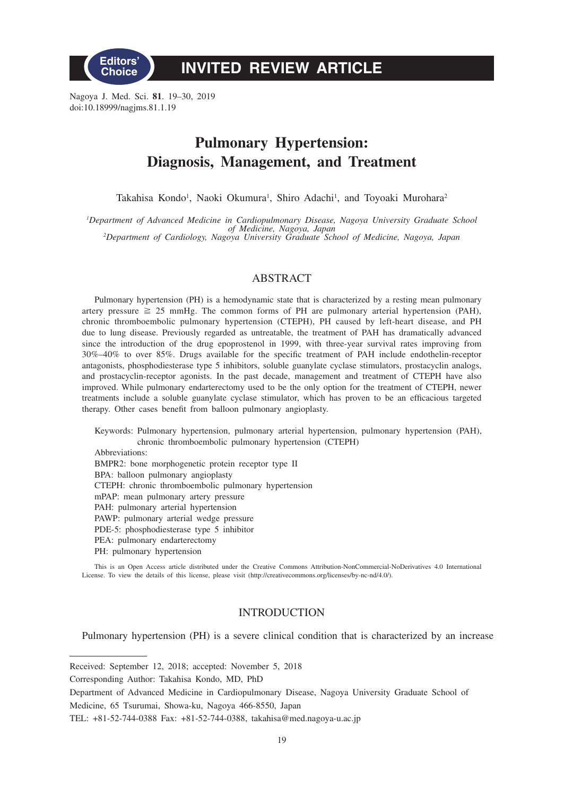

# **INVITED REVIEW ARTICLE**

Nagoya J. Med. Sci. **81**. 19–30, 2019 doi:10.18999/nagjms.81.1.19

# **Pulmonary Hypertension: Diagnosis, Management, and Treatment**

Takahisa Kondo<sup>1</sup>, Naoki Okumura<sup>1</sup>, Shiro Adachi<sup>1</sup>, and Toyoaki Murohara<sup>2</sup>

*1 Department of Advanced Medicine in Cardiopulmonary Disease, Nagoya University Graduate School of Medicine, Nagoya, Japan <sup>2</sup> Department of Cardiology, Nagoya University Graduate School of Medicine, Nagoya, Japan*

## ABSTRACT

Pulmonary hypertension (PH) is a hemodynamic state that is characterized by a resting mean pulmonary artery pressure  $\geq 25$  mmHg. The common forms of PH are pulmonary arterial hypertension (PAH), chronic thromboembolic pulmonary hypertension (CTEPH), PH caused by left-heart disease, and PH due to lung disease. Previously regarded as untreatable, the treatment of PAH has dramatically advanced since the introduction of the drug epoprostenol in 1999, with three-year survival rates improving from 30%–40% to over 85%. Drugs available for the specific treatment of PAH include endothelin-receptor antagonists, phosphodiesterase type 5 inhibitors, soluble guanylate cyclase stimulators, prostacyclin analogs, and prostacyclin-receptor agonists. In the past decade, management and treatment of CTEPH have also improved. While pulmonary endarterectomy used to be the only option for the treatment of CTEPH, newer treatments include a soluble guanylate cyclase stimulator, which has proven to be an efficacious targeted therapy. Other cases benefit from balloon pulmonary angioplasty.

Keywords: Pulmonary hypertension, pulmonary arterial hypertension, pulmonary hypertension (PAH), chronic thromboembolic pulmonary hypertension (CTEPH)

Abbreviations: BMPR2: bone morphogenetic protein receptor type II BPA: balloon pulmonary angioplasty CTEPH: chronic thromboembolic pulmonary hypertension mPAP: mean pulmonary artery pressure PAH: pulmonary arterial hypertension PAWP: pulmonary arterial wedge pressure PDE-5: phosphodiesterase type 5 inhibitor PEA: pulmonary endarterectomy PH: pulmonary hypertension

This is an Open Access article distributed under the Creative Commons Attribution-NonCommercial-NoDerivatives 4.0 International License. To view the details of this license, please visit (http://creativecommons.org/licenses/by-nc-nd/4.0/).

# INTRODUCTION

Pulmonary hypertension (PH) is a severe clinical condition that is characterized by an increase

Received: September 12, 2018; accepted: November 5, 2018

Corresponding Author: Takahisa Kondo, MD, PhD

Department of Advanced Medicine in Cardiopulmonary Disease, Nagoya University Graduate School of Medicine, 65 Tsurumai, Showa-ku, Nagoya 466-8550, Japan

TEL: +81-52-744-0388 Fax: +81-52-744-0388, takahisa@med.nagoya-u.ac.jp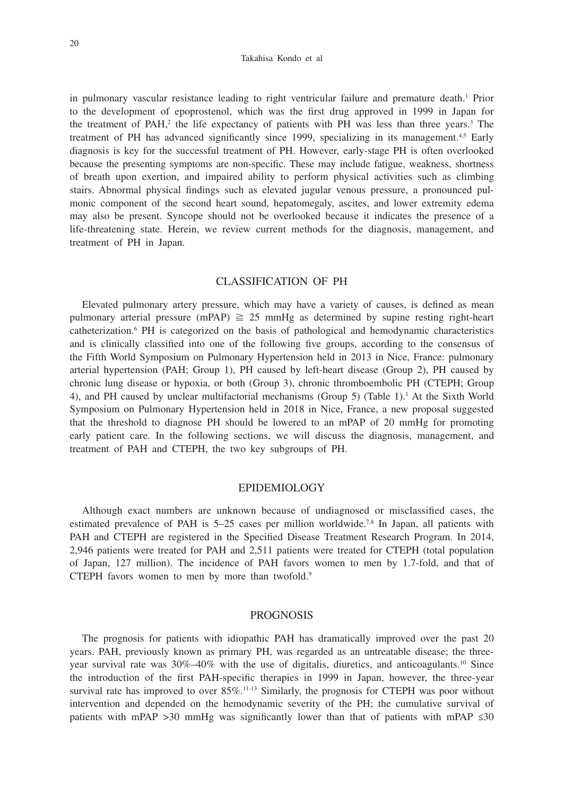#### Takahisa Kondo et al

in pulmonary vascular resistance leading to right ventricular failure and premature death.<sup>1</sup> Prior to the development of epoprostenol, which was the first drug approved in 1999 in Japan for the treatment of PAH,<sup>2</sup> the life expectancy of patients with PH was less than three years.<sup>3</sup> The treatment of PH has advanced significantly since 1999, specializing in its management.<sup>4,5</sup> Early diagnosis is key for the successful treatment of PH. However, early-stage PH is often overlooked because the presenting symptoms are non-specific. These may include fatigue, weakness, shortness of breath upon exertion, and impaired ability to perform physical activities such as climbing stairs. Abnormal physical findings such as elevated jugular venous pressure, a pronounced pulmonic component of the second heart sound, hepatomegaly, ascites, and lower extremity edema may also be present. Syncope should not be overlooked because it indicates the presence of a life-threatening state. Herein, we review current methods for the diagnosis, management, and treatment of PH in Japan.

# CLASSIFICATION OF PH

Elevated pulmonary artery pressure, which may have a variety of causes, is defined as mean pulmonary arterial pressure (mPAP)  $\geq 25$  mmHg as determined by supine resting right-heart catheterization.<sup>6</sup> PH is categorized on the basis of pathological and hemodynamic characteristics and is clinically classified into one of the following five groups, according to the consensus of the Fifth World Symposium on Pulmonary Hypertension held in 2013 in Nice, France: pulmonary arterial hypertension (PAH; Group 1), PH caused by left-heart disease (Group 2), PH caused by chronic lung disease or hypoxia, or both (Group 3), chronic thromboembolic PH (CTEPH; Group 4), and PH caused by unclear multifactorial mechanisms (Group 5) (Table 1).<sup>1</sup> At the Sixth World Symposium on Pulmonary Hypertension held in 2018 in Nice, France, a new proposal suggested that the threshold to diagnose PH should be lowered to an mPAP of 20 mmHg for promoting early patient care. In the following sections, we will discuss the diagnosis, management, and treatment of PAH and CTEPH, the two key subgroups of PH.

## EPIDEMIOLOGY

Although exact numbers are unknown because of undiagnosed or misclassified cases, the estimated prevalence of PAH is  $5-25$  cases per million worldwide.<sup>7,8</sup> In Japan, all patients with PAH and CTEPH are registered in the Specified Disease Treatment Research Program. In 2014, 2,946 patients were treated for PAH and 2,511 patients were treated for CTEPH (total population of Japan, 127 million). The incidence of PAH favors women to men by 1.7-fold, and that of CTEPH favors women to men by more than twofold.9

#### PROGNOSIS

The prognosis for patients with idiopathic PAH has dramatically improved over the past 20 years. PAH, previously known as primary PH, was regarded as an untreatable disease; the threeyear survival rate was 30%-40% with the use of digitalis, diuretics, and anticoagulants.<sup>10</sup> Since the introduction of the first PAH-specific therapies in 1999 in Japan, however, the three-year survival rate has improved to over  $85\%$ .<sup>11-13</sup> Similarly, the prognosis for CTEPH was poor without intervention and depended on the hemodynamic severity of the PH; the cumulative survival of patients with mPAP >30 mmHg was significantly lower than that of patients with mPAP  $\leq 30$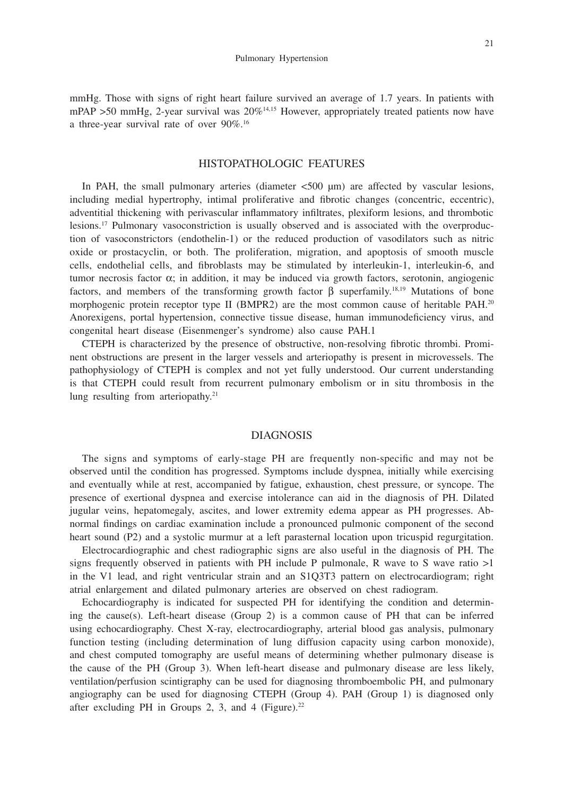mmHg. Those with signs of right heart failure survived an average of 1.7 years. In patients with mPAP >50 mmHg, 2-year survival was  $20\%$ <sup>14,15</sup> However, appropriately treated patients now have a three-year survival rate of over 90%.16

# HISTOPATHOLOGIC FEATURES

In PAH, the small pulmonary arteries (diameter  $\lt$  500  $\mu$ m) are affected by vascular lesions, including medial hypertrophy, intimal proliferative and fibrotic changes (concentric, eccentric), adventitial thickening with perivascular inflammatory infiltrates, plexiform lesions, and thrombotic lesions.17 Pulmonary vasoconstriction is usually observed and is associated with the overproduction of vasoconstrictors (endothelin-1) or the reduced production of vasodilators such as nitric oxide or prostacyclin, or both. The proliferation, migration, and apoptosis of smooth muscle cells, endothelial cells, and fibroblasts may be stimulated by interleukin-1, interleukin-6, and tumor necrosis factor α; in addition, it may be induced via growth factors, serotonin, angiogenic factors, and members of the transforming growth factor  $\beta$  superfamily.<sup>18,19</sup> Mutations of bone morphogenic protein receptor type II (BMPR2) are the most common cause of heritable PAH.<sup>20</sup> Anorexigens, portal hypertension, connective tissue disease, human immunodeficiency virus, and congenital heart disease (Eisenmenger's syndrome) also cause PAH.1

CTEPH is characterized by the presence of obstructive, non-resolving fibrotic thrombi. Prominent obstructions are present in the larger vessels and arteriopathy is present in microvessels. The pathophysiology of CTEPH is complex and not yet fully understood. Our current understanding is that CTEPH could result from recurrent pulmonary embolism or in situ thrombosis in the lung resulting from arteriopathy.<sup>21</sup>

### DIAGNOSIS

The signs and symptoms of early-stage PH are frequently non-specific and may not be observed until the condition has progressed. Symptoms include dyspnea, initially while exercising and eventually while at rest, accompanied by fatigue, exhaustion, chest pressure, or syncope. The presence of exertional dyspnea and exercise intolerance can aid in the diagnosis of PH. Dilated jugular veins, hepatomegaly, ascites, and lower extremity edema appear as PH progresses. Abnormal findings on cardiac examination include a pronounced pulmonic component of the second heart sound (P2) and a systolic murmur at a left parasternal location upon tricuspid regurgitation.

Electrocardiographic and chest radiographic signs are also useful in the diagnosis of PH. The signs frequently observed in patients with PH include P pulmonale, R wave to S wave ratio  $>1$ in the V1 lead, and right ventricular strain and an S1Q3T3 pattern on electrocardiogram; right atrial enlargement and dilated pulmonary arteries are observed on chest radiogram.

Echocardiography is indicated for suspected PH for identifying the condition and determining the cause(s). Left-heart disease (Group 2) is a common cause of PH that can be inferred using echocardiography. Chest X-ray, electrocardiography, arterial blood gas analysis, pulmonary function testing (including determination of lung diffusion capacity using carbon monoxide), and chest computed tomography are useful means of determining whether pulmonary disease is the cause of the PH (Group 3). When left-heart disease and pulmonary disease are less likely, ventilation/perfusion scintigraphy can be used for diagnosing thromboembolic PH, and pulmonary angiography can be used for diagnosing CTEPH (Group 4). PAH (Group 1) is diagnosed only after excluding PH in Groups 2, 3, and 4 (Figure).<sup>22</sup>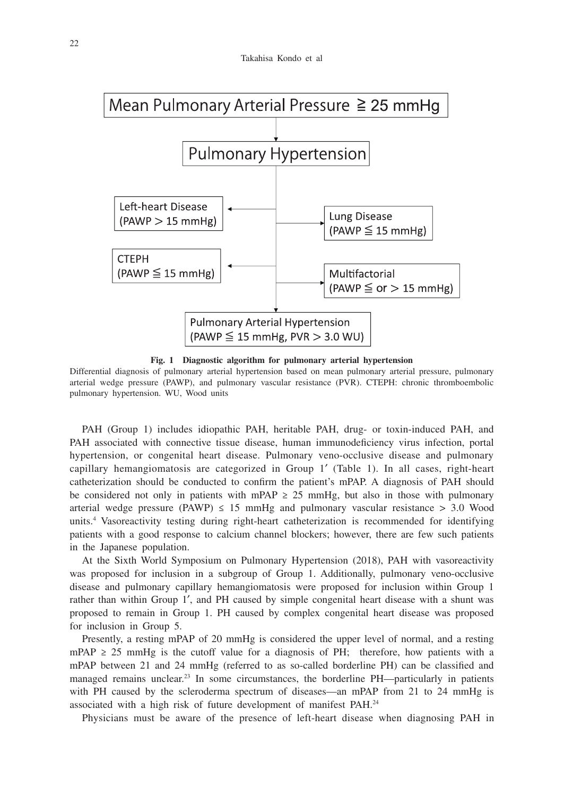

**Fig. 1 Diagnostic algorithm for pulmonary arterial hypertension**

Differential diagnosis of pulmonary arterial hypertension based on mean pulmonary arterial pressure, pulmonary arterial wedge pressure (PAWP), and pulmonary vascular resistance (PVR). CTEPH: chronic thromboembolic pulmonary hypertension. WU, Wood units

PAH (Group 1) includes idiopathic PAH, heritable PAH, drug- or toxin-induced PAH, and PAH associated with connective tissue disease, human immunodeficiency virus infection, portal hypertension, or congenital heart disease. Pulmonary veno-occlusive disease and pulmonary capillary hemangiomatosis are categorized in Group 1′ (Table 1). In all cases, right-heart catheterization should be conducted to confirm the patient's mPAP. A diagnosis of PAH should be considered not only in patients with mPAP  $\geq$  25 mmHg, but also in those with pulmonary arterial wedge pressure (PAWP)  $\leq$  15 mmHg and pulmonary vascular resistance  $>$  3.0 Wood units.4 Vasoreactivity testing during right-heart catheterization is recommended for identifying patients with a good response to calcium channel blockers; however, there are few such patients in the Japanese population.

At the Sixth World Symposium on Pulmonary Hypertension (2018), PAH with vasoreactivity was proposed for inclusion in a subgroup of Group 1. Additionally, pulmonary veno-occlusive disease and pulmonary capillary hemangiomatosis were proposed for inclusion within Group 1 rather than within Group 1′, and PH caused by simple congenital heart disease with a shunt was proposed to remain in Group 1. PH caused by complex congenital heart disease was proposed for inclusion in Group 5.

Presently, a resting mPAP of 20 mmHg is considered the upper level of normal, and a resting mPAP  $\geq$  25 mmHg is the cutoff value for a diagnosis of PH; therefore, how patients with a mPAP between 21 and 24 mmHg (referred to as so-called borderline PH) can be classified and managed remains unclear.<sup>23</sup> In some circumstances, the borderline PH—particularly in patients with PH caused by the scleroderma spectrum of diseases—an mPAP from 21 to 24 mmHg is associated with a high risk of future development of manifest PAH.24

Physicians must be aware of the presence of left-heart disease when diagnosing PAH in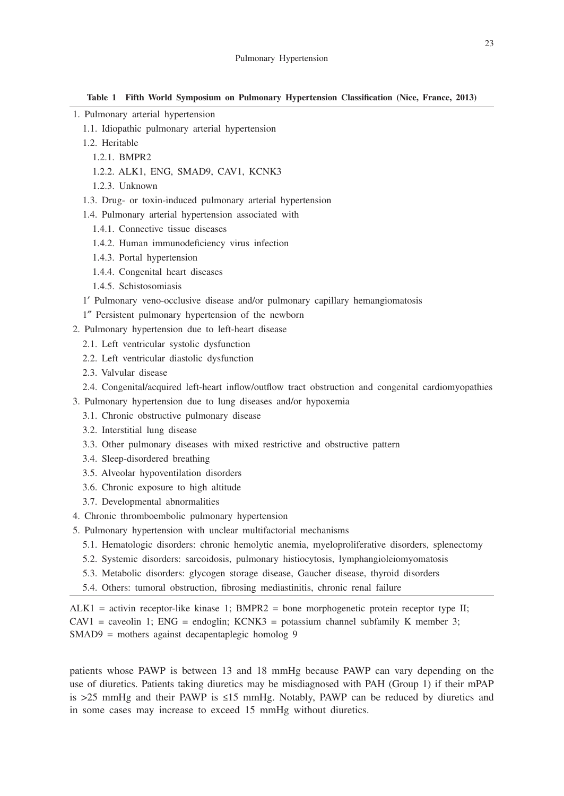**Table 1 Fifth World Symposium on Pulmonary Hypertension Classification (Nice, France, 2013)**

- 1. Pulmonary arterial hypertension
	- 1.1. Idiopathic pulmonary arterial hypertension
	- 1.2. Heritable
		- 1.2.1. BMPR2
		- 1.2.2. ALK1, ENG, SMAD9, CAV1, KCNK3
		- 1.2.3. Unknown
	- 1.3. Drug- or toxin-induced pulmonary arterial hypertension
	- 1.4. Pulmonary arterial hypertension associated with
		- 1.4.1. Connective tissue diseases
		- 1.4.2. Human immunodeficiency virus infection
		- 1.4.3. Portal hypertension
		- 1.4.4. Congenital heart diseases
		- 1.4.5. Schistosomiasis
	- 1′ Pulmonary veno-occlusive disease and/or pulmonary capillary hemangiomatosis
	- 1″ Persistent pulmonary hypertension of the newborn
- 2. Pulmonary hypertension due to left-heart disease
	- 2.1. Left ventricular systolic dysfunction
	- 2.2. Left ventricular diastolic dysfunction
	- 2.3. Valvular disease
	- 2.4. Congenital/acquired left-heart inflow/outflow tract obstruction and congenital cardiomyopathies
- 3. Pulmonary hypertension due to lung diseases and/or hypoxemia
	- 3.1. Chronic obstructive pulmonary disease
	- 3.2. Interstitial lung disease
	- 3.3. Other pulmonary diseases with mixed restrictive and obstructive pattern
	- 3.4. Sleep-disordered breathing
	- 3.5. Alveolar hypoventilation disorders
	- 3.6. Chronic exposure to high altitude
	- 3.7. Developmental abnormalities
- 4. Chronic thromboembolic pulmonary hypertension
- 5. Pulmonary hypertension with unclear multifactorial mechanisms
	- 5.1. Hematologic disorders: chronic hemolytic anemia, myeloproliferative disorders, splenectomy
	- 5.2. Systemic disorders: sarcoidosis, pulmonary histiocytosis, lymphangioleiomyomatosis
	- 5.3. Metabolic disorders: glycogen storage disease, Gaucher disease, thyroid disorders
	- 5.4. Others: tumoral obstruction, fibrosing mediastinitis, chronic renal failure

 $ALK1 = activity$  receptor-like kinase 1; BMPR2 = bone morphogenetic protein receptor type II;  $CAV1 = caveolin 1$ ;  $ENG = endoglin$ ;  $KCNK3 = potassium channel subfamily K member 3$ ; SMAD9 = mothers against decapentaplegic homolog 9

patients whose PAWP is between 13 and 18 mmHg because PAWP can vary depending on the use of diuretics. Patients taking diuretics may be misdiagnosed with PAH (Group 1) if their mPAP is >25 mmHg and their PAWP is ≤15 mmHg. Notably, PAWP can be reduced by diuretics and in some cases may increase to exceed 15 mmHg without diuretics.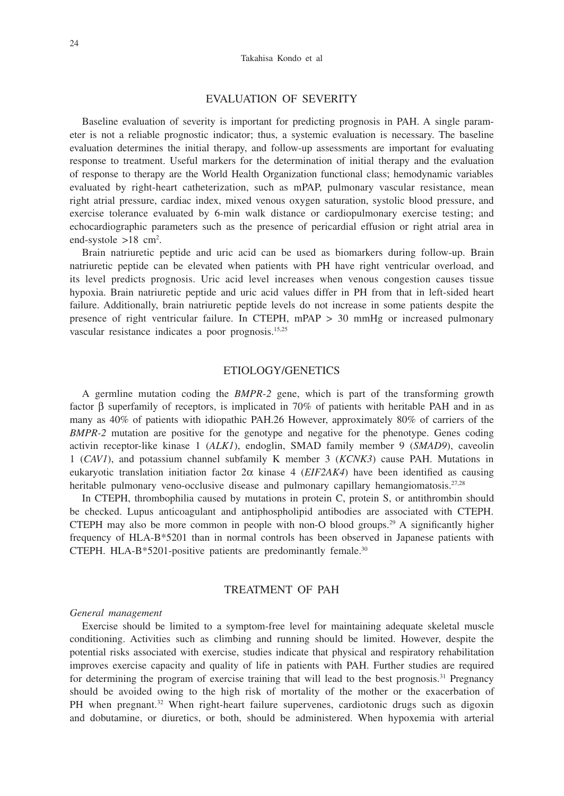## EVALUATION OF SEVERITY

Baseline evaluation of severity is important for predicting prognosis in PAH. A single parameter is not a reliable prognostic indicator; thus, a systemic evaluation is necessary. The baseline evaluation determines the initial therapy, and follow-up assessments are important for evaluating response to treatment. Useful markers for the determination of initial therapy and the evaluation of response to therapy are the World Health Organization functional class; hemodynamic variables evaluated by right-heart catheterization, such as mPAP, pulmonary vascular resistance, mean right atrial pressure, cardiac index, mixed venous oxygen saturation, systolic blood pressure, and exercise tolerance evaluated by 6-min walk distance or cardiopulmonary exercise testing; and echocardiographic parameters such as the presence of pericardial effusion or right atrial area in end-systole >18 cm<sup>2</sup>.

Brain natriuretic peptide and uric acid can be used as biomarkers during follow-up. Brain natriuretic peptide can be elevated when patients with PH have right ventricular overload, and its level predicts prognosis. Uric acid level increases when venous congestion causes tissue hypoxia. Brain natriuretic peptide and uric acid values differ in PH from that in left-sided heart failure. Additionally, brain natriuretic peptide levels do not increase in some patients despite the presence of right ventricular failure. In CTEPH, mPAP > 30 mmHg or increased pulmonary vascular resistance indicates a poor prognosis.15,25

# ETIOLOGY/GENETICS

A germline mutation coding the *BMPR-2* gene, which is part of the transforming growth factor β superfamily of receptors, is implicated in 70% of patients with heritable PAH and in as many as 40% of patients with idiopathic PAH.26 However, approximately 80% of carriers of the *BMPR-2* mutation are positive for the genotype and negative for the phenotype. Genes coding activin receptor-like kinase 1 (*ALK1*), endoglin, SMAD family member 9 (*SMAD9*), caveolin 1 (*CAV1*), and potassium channel subfamily K member 3 (*KCNK3*) cause PAH. Mutations in eukaryotic translation initiation factor 2α kinase 4 (*EIF2AK4*) have been identified as causing heritable pulmonary veno-occlusive disease and pulmonary capillary hemangiomatosis.<sup>27,28</sup>

In CTEPH, thrombophilia caused by mutations in protein C, protein S, or antithrombin should be checked. Lupus anticoagulant and antiphospholipid antibodies are associated with CTEPH. CTEPH may also be more common in people with non-O blood groups.<sup>29</sup> A significantly higher frequency of HLA-B\*5201 than in normal controls has been observed in Japanese patients with CTEPH. HLA-B\*5201-positive patients are predominantly female.30

# TREATMENT OF PAH

#### *General management*

Exercise should be limited to a symptom-free level for maintaining adequate skeletal muscle conditioning. Activities such as climbing and running should be limited. However, despite the potential risks associated with exercise, studies indicate that physical and respiratory rehabilitation improves exercise capacity and quality of life in patients with PAH. Further studies are required for determining the program of exercise training that will lead to the best prognosis.<sup>31</sup> Pregnancy should be avoided owing to the high risk of mortality of the mother or the exacerbation of PH when pregnant.<sup>32</sup> When right-heart failure supervenes, cardiotonic drugs such as digoxin and dobutamine, or diuretics, or both, should be administered. When hypoxemia with arterial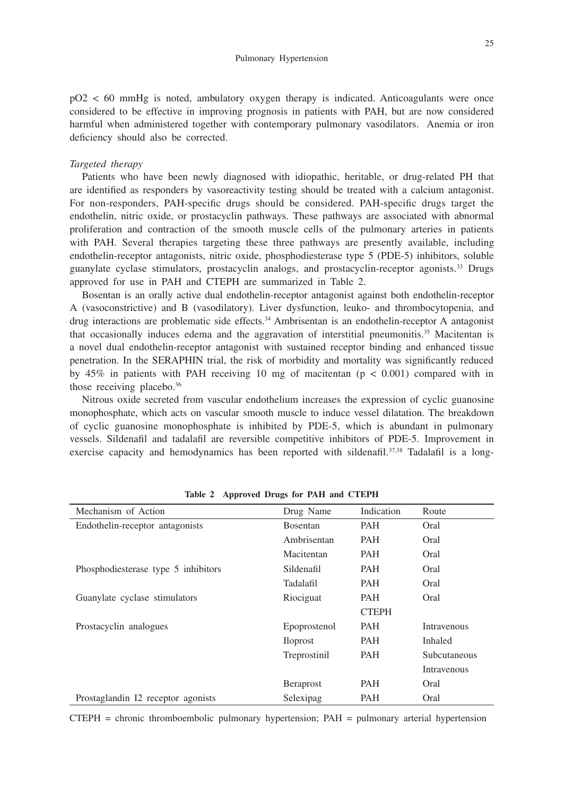pO2 < 60 mmHg is noted, ambulatory oxygen therapy is indicated. Anticoagulants were once considered to be effective in improving prognosis in patients with PAH, but are now considered harmful when administered together with contemporary pulmonary vasodilators. Anemia or iron deficiency should also be corrected.

#### *Targeted therapy*

Patients who have been newly diagnosed with idiopathic, heritable, or drug-related PH that are identified as responders by vasoreactivity testing should be treated with a calcium antagonist. For non-responders, PAH-specific drugs should be considered. PAH-specific drugs target the endothelin, nitric oxide, or prostacyclin pathways. These pathways are associated with abnormal proliferation and contraction of the smooth muscle cells of the pulmonary arteries in patients with PAH. Several therapies targeting these three pathways are presently available, including endothelin-receptor antagonists, nitric oxide, phosphodiesterase type 5 (PDE-5) inhibitors, soluble guanylate cyclase stimulators, prostacyclin analogs, and prostacyclin-receptor agonists.33 Drugs approved for use in PAH and CTEPH are summarized in Table 2.

Bosentan is an orally active dual endothelin-receptor antagonist against both endothelin-receptor A (vasoconstrictive) and B (vasodilatory). Liver dysfunction, leuko- and thrombocytopenia, and drug interactions are problematic side effects.34 Ambrisentan is an endothelin-receptor A antagonist that occasionally induces edema and the aggravation of interstitial pneumonitis.35 Macitentan is a novel dual endothelin-receptor antagonist with sustained receptor binding and enhanced tissue penetration. In the SERAPHIN trial, the risk of morbidity and mortality was significantly reduced by  $45\%$  in patients with PAH receiving 10 mg of macitentan ( $p < 0.001$ ) compared with in those receiving placebo.36

Nitrous oxide secreted from vascular endothelium increases the expression of cyclic guanosine monophosphate, which acts on vascular smooth muscle to induce vessel dilatation. The breakdown of cyclic guanosine monophosphate is inhibited by PDE-5, which is abundant in pulmonary vessels. Sildenafil and tadalafil are reversible competitive inhibitors of PDE-5. Improvement in exercise capacity and hemodynamics has been reported with sildenafil.<sup>37,38</sup> Tadalafil is a long-

| Mechanism of Action                 | Drug Name        | Indication   | Route        |
|-------------------------------------|------------------|--------------|--------------|
| Endothelin-receptor antagonists     | <b>Bosentan</b>  | PAH          | Oral         |
|                                     | Ambrisentan      | PAH          | Oral         |
|                                     | Macitentan       | <b>PAH</b>   | Oral         |
| Phosphodiesterase type 5 inhibitors | Sildenafil       | PAH          | Oral         |
|                                     | Tadalafil        | <b>PAH</b>   | Oral         |
| Guanylate cyclase stimulators       | Riociguat        | PAH          | Oral         |
|                                     |                  | <b>CTEPH</b> |              |
| Prostacyclin analogues              | Epoprostenol     | <b>PAH</b>   | Intravenous  |
|                                     | <b>Illoprost</b> | PAH          | Inhaled      |
|                                     | Treprostinil     | PAH          | Subcutaneous |
|                                     |                  |              | Intravenous  |
|                                     | Beraprost        | PAH          | Oral         |
| Prostaglandin I2 receptor agonists  | Selexipag        | PAH          | Oral         |

**Table 2 Approved Drugs for PAH and CTEPH**

 $CTEPH =$  chronic thromboembolic pulmonary hypertension;  $PAH =$  pulmonary arterial hypertension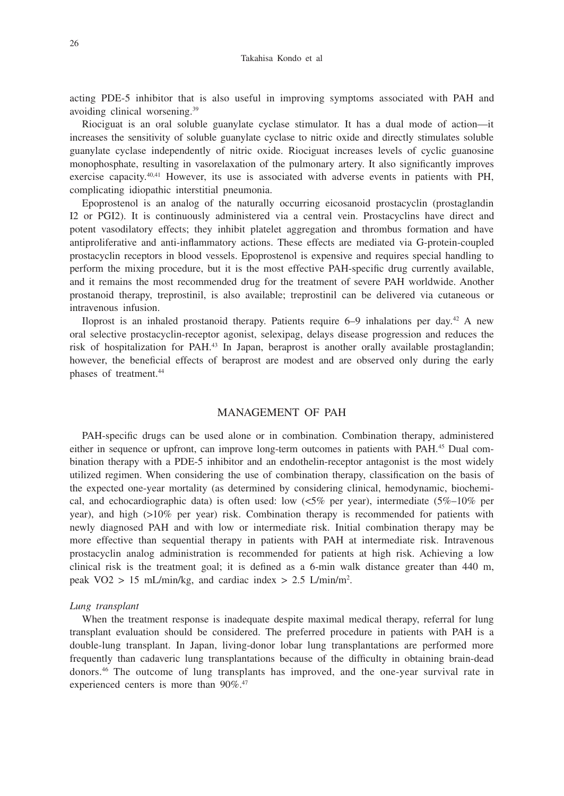acting PDE-5 inhibitor that is also useful in improving symptoms associated with PAH and avoiding clinical worsening.39

Riociguat is an oral soluble guanylate cyclase stimulator. It has a dual mode of action—it increases the sensitivity of soluble guanylate cyclase to nitric oxide and directly stimulates soluble guanylate cyclase independently of nitric oxide. Riociguat increases levels of cyclic guanosine monophosphate, resulting in vasorelaxation of the pulmonary artery. It also significantly improves exercise capacity.<sup>40,41</sup> However, its use is associated with adverse events in patients with PH, complicating idiopathic interstitial pneumonia.

Epoprostenol is an analog of the naturally occurring eicosanoid prostacyclin (prostaglandin I2 or PGI2). It is continuously administered via a central vein. Prostacyclins have direct and potent vasodilatory effects; they inhibit platelet aggregation and thrombus formation and have antiproliferative and anti-inflammatory actions. These effects are mediated via G-protein-coupled prostacyclin receptors in blood vessels. Epoprostenol is expensive and requires special handling to perform the mixing procedure, but it is the most effective PAH-specific drug currently available, and it remains the most recommended drug for the treatment of severe PAH worldwide. Another prostanoid therapy, treprostinil, is also available; treprostinil can be delivered via cutaneous or intravenous infusion.

Iloprost is an inhaled prostanoid therapy. Patients require  $6-9$  inhalations per day.<sup>42</sup> A new oral selective prostacyclin-receptor agonist, selexipag, delays disease progression and reduces the risk of hospitalization for PAH.43 In Japan, beraprost is another orally available prostaglandin; however, the beneficial effects of beraprost are modest and are observed only during the early phases of treatment.<sup>44</sup>

# MANAGEMENT OF PAH

PAH-specific drugs can be used alone or in combination. Combination therapy, administered either in sequence or upfront, can improve long-term outcomes in patients with PAH.<sup>45</sup> Dual combination therapy with a PDE-5 inhibitor and an endothelin-receptor antagonist is the most widely utilized regimen. When considering the use of combination therapy, classification on the basis of the expected one-year mortality (as determined by considering clinical, hemodynamic, biochemical, and echocardiographic data) is often used: low  $\langle 5\%$  per year), intermediate  $(5\%-10\%)$  per year), and high (>10% per year) risk. Combination therapy is recommended for patients with newly diagnosed PAH and with low or intermediate risk. Initial combination therapy may be more effective than sequential therapy in patients with PAH at intermediate risk. Intravenous prostacyclin analog administration is recommended for patients at high risk. Achieving a low clinical risk is the treatment goal; it is defined as a 6-min walk distance greater than 440 m, peak  $\text{VO2} > 15 \text{ mL/min/kg}$ , and cardiac index > 2.5 L/min/m<sup>2</sup>.

### *Lung transplant*

When the treatment response is inadequate despite maximal medical therapy, referral for lung transplant evaluation should be considered. The preferred procedure in patients with PAH is a double-lung transplant. In Japan, living-donor lobar lung transplantations are performed more frequently than cadaveric lung transplantations because of the difficulty in obtaining brain-dead donors.46 The outcome of lung transplants has improved, and the one-year survival rate in experienced centers is more than 90%.<sup>47</sup>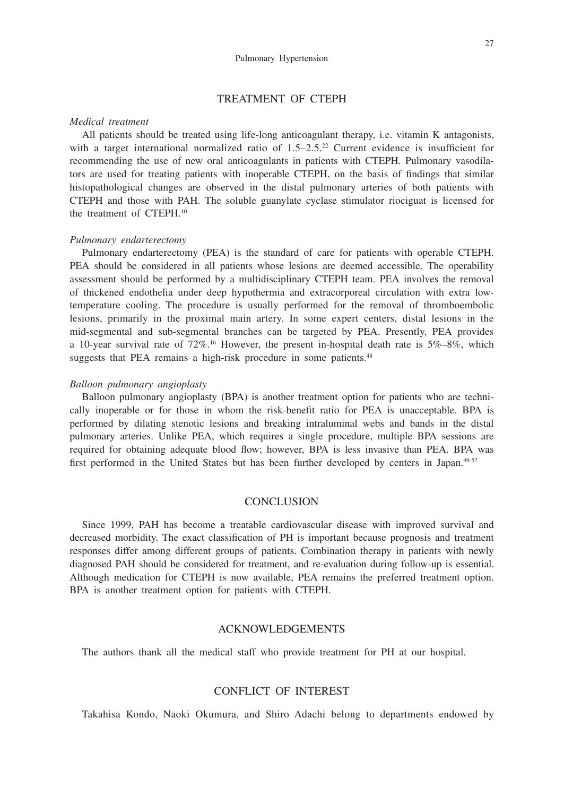## TREATMENT OF CTEPH

#### *Medical treatment*

All patients should be treated using life-long anticoagulant therapy, i.e. vitamin K antagonists, with a target international normalized ratio of  $1.5-2.5.22$  Current evidence is insufficient for recommending the use of new oral anticoagulants in patients with CTEPH. Pulmonary vasodilators are used for treating patients with inoperable CTEPH, on the basis of findings that similar histopathological changes are observed in the distal pulmonary arteries of both patients with CTEPH and those with PAH. The soluble guanylate cyclase stimulator riociguat is licensed for the treatment of CTEPH<sup>40</sup>

## *Pulmonary endarterectomy*

Pulmonary endarterectomy (PEA) is the standard of care for patients with operable CTEPH. PEA should be considered in all patients whose lesions are deemed accessible. The operability assessment should be performed by a multidisciplinary CTEPH team. PEA involves the removal of thickened endothelia under deep hypothermia and extracorporeal circulation with extra lowtemperature cooling. The procedure is usually performed for the removal of thromboembolic lesions, primarily in the proximal main artery. In some expert centers, distal lesions in the mid-segmental and sub-segmental branches can be targeted by PEA. Presently, PEA provides a 10-year survival rate of  $72\%$ .<sup>16</sup> However, the present in-hospital death rate is  $5\%$ -8%, which suggests that PEA remains a high-risk procedure in some patients.<sup>48</sup>

#### *Balloon pulmonary angioplasty*

Balloon pulmonary angioplasty (BPA) is another treatment option for patients who are technically inoperable or for those in whom the risk-benefit ratio for PEA is unacceptable. BPA is performed by dilating stenotic lesions and breaking intraluminal webs and bands in the distal pulmonary arteries. Unlike PEA, which requires a single procedure, multiple BPA sessions are required for obtaining adequate blood flow; however, BPA is less invasive than PEA. BPA was first performed in the United States but has been further developed by centers in Japan.<sup>49-52</sup>

#### **CONCLUSION**

Since 1999, PAH has become a treatable cardiovascular disease with improved survival and decreased morbidity. The exact classification of PH is important because prognosis and treatment responses differ among different groups of patients. Combination therapy in patients with newly diagnosed PAH should be considered for treatment, and re-evaluation during follow-up is essential. Although medication for CTEPH is now available, PEA remains the preferred treatment option. BPA is another treatment option for patients with CTEPH.

## ACKNOWLEDGEMENTS

The authors thank all the medical staff who provide treatment for PH at our hospital.

# CONFLICT OF INTEREST

Takahisa Kondo, Naoki Okumura, and Shiro Adachi belong to departments endowed by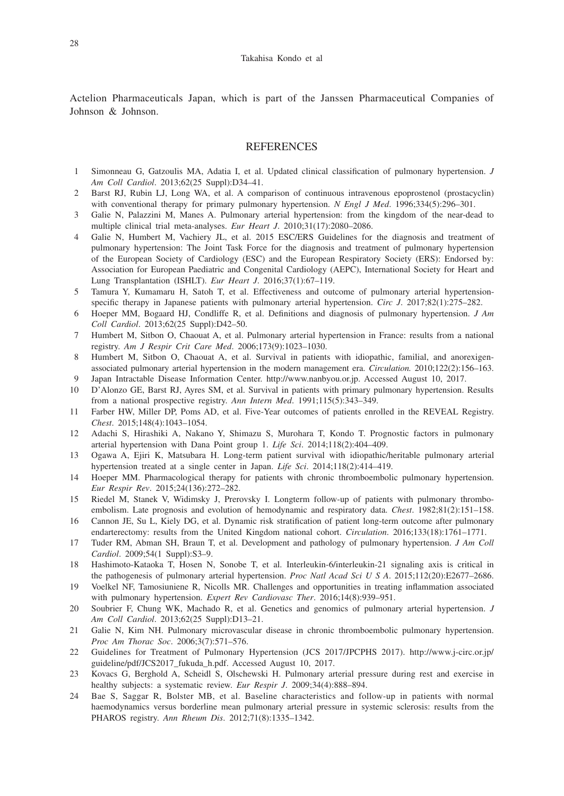Actelion Pharmaceuticals Japan, which is part of the Janssen Pharmaceutical Companies of Johnson & Johnson.

## REFERENCES

- 1 Simonneau G, Gatzoulis MA, Adatia I, et al. Updated clinical classification of pulmonary hypertension. *J Am Coll Cardiol*. 2013;62(25 Suppl):D34–41.
- 2 Barst RJ, Rubin LJ, Long WA, et al. A comparison of continuous intravenous epoprostenol (prostacyclin) with conventional therapy for primary pulmonary hypertension. *N Engl J Med.* 1996;334(5):296–301.
- 3 Galie N, Palazzini M, Manes A. Pulmonary arterial hypertension: from the kingdom of the near-dead to multiple clinical trial meta-analyses. *Eur Heart J*. 2010;31(17):2080–2086.
- 4 Galie N, Humbert M, Vachiery JL, et al. 2015 ESC/ERS Guidelines for the diagnosis and treatment of pulmonary hypertension: The Joint Task Force for the diagnosis and treatment of pulmonary hypertension of the European Society of Cardiology (ESC) and the European Respiratory Society (ERS): Endorsed by: Association for European Paediatric and Congenital Cardiology (AEPC), International Society for Heart and Lung Transplantation (ISHLT). *Eur Heart J*. 2016;37(1):67–119.
- 5 Tamura Y, Kumamaru H, Satoh T, et al. Effectiveness and outcome of pulmonary arterial hypertensionspecific therapy in Japanese patients with pulmonary arterial hypertension. *Circ J*. 2017;82(1):275–282.
- 6 Hoeper MM, Bogaard HJ, Condliffe R, et al. Definitions and diagnosis of pulmonary hypertension. *J Am Coll Cardiol*. 2013;62(25 Suppl):D42–50.
- 7 Humbert M, Sitbon O, Chaouat A, et al. Pulmonary arterial hypertension in France: results from a national registry. *Am J Respir Crit Care Med*. 2006;173(9):1023–1030.
- 8 Humbert M, Sitbon O, Chaouat A, et al. Survival in patients with idiopathic, familial, and anorexigenassociated pulmonary arterial hypertension in the modern management era. *Circulation.* 2010;122(2):156–163. 9 Japan Intractable Disease Information Center. http://www.nanbyou.or.jp. Accessed August 10, 2017.
- 10 D'Alonzo GE, Barst RJ, Ayres SM, et al. Survival in patients with primary pulmonary hypertension. Results from a national prospective registry. *Ann Intern Med*. 1991;115(5):343–349.
- 11 Farber HW, Miller DP, Poms AD, et al. Five-Year outcomes of patients enrolled in the REVEAL Registry. *Chest*. 2015;148(4):1043–1054.
- 12 Adachi S, Hirashiki A, Nakano Y, Shimazu S, Murohara T, Kondo T. Prognostic factors in pulmonary arterial hypertension with Dana Point group 1. *Life Sci*. 2014;118(2):404–409.
- 13 Ogawa A, Ejiri K, Matsubara H. Long-term patient survival with idiopathic/heritable pulmonary arterial hypertension treated at a single center in Japan. *Life Sci*. 2014;118(2):414–419.
- 14 Hoeper MM. Pharmacological therapy for patients with chronic thromboembolic pulmonary hypertension. *Eur Respir Rev*. 2015;24(136):272–282.
- 15 Riedel M, Stanek V, Widimsky J, Prerovsky I. Longterm follow-up of patients with pulmonary thromboembolism. Late prognosis and evolution of hemodynamic and respiratory data. *Chest*. 1982;81(2):151–158.
- 16 Cannon JE, Su L, Kiely DG, et al. Dynamic risk stratification of patient long-term outcome after pulmonary endarterectomy: results from the United Kingdom national cohort. *Circulation*. 2016;133(18):1761–1771.
- 17 Tuder RM, Abman SH, Braun T, et al. Development and pathology of pulmonary hypertension. *J Am Coll Cardiol*. 2009;54(1 Suppl):S3–9.
- 18 Hashimoto-Kataoka T, Hosen N, Sonobe T, et al. Interleukin-6/interleukin-21 signaling axis is critical in the pathogenesis of pulmonary arterial hypertension. *Proc Natl Acad Sci U S A*. 2015;112(20):E2677–2686.
- 19 Voelkel NF, Tamosiuniene R, Nicolls MR. Challenges and opportunities in treating inflammation associated with pulmonary hypertension. *Expert Rev Cardiovasc Ther*. 2016;14(8):939–951.
- 20 Soubrier F, Chung WK, Machado R, et al. Genetics and genomics of pulmonary arterial hypertension. *J Am Coll Cardiol*. 2013;62(25 Suppl):D13–21.
- 21 Galie N, Kim NH. Pulmonary microvascular disease in chronic thromboembolic pulmonary hypertension. *Proc Am Thorac Soc*. 2006;3(7):571–576.
- 22 Guidelines for Treatment of Pulmonary Hypertension (JCS 2017/JPCPHS 2017). http://www.j-circ.or.jp/ guideline/pdf/JCS2017\_fukuda\_h.pdf. Accessed August 10, 2017.
- 23 Kovacs G, Berghold A, Scheidl S, Olschewski H. Pulmonary arterial pressure during rest and exercise in healthy subjects: a systematic review. *Eur Respir J*. 2009;34(4):888–894.
- 24 Bae S, Saggar R, Bolster MB, et al. Baseline characteristics and follow-up in patients with normal haemodynamics versus borderline mean pulmonary arterial pressure in systemic sclerosis: results from the PHAROS registry. *Ann Rheum Dis*. 2012;71(8):1335–1342.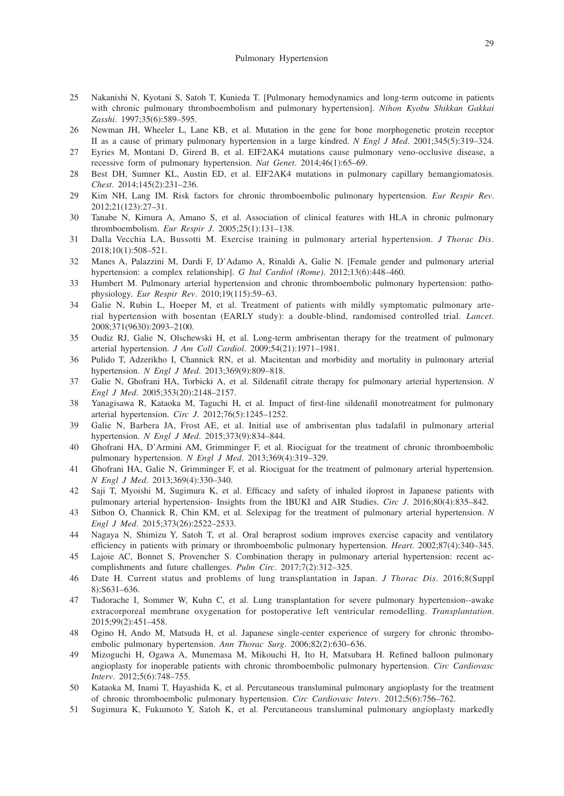- 25 Nakanishi N, Kyotani S, Satoh T, Kunieda T. [Pulmonary hemodynamics and long-term outcome in patients with chronic pulmonary thromboembolism and pulmonary hypertension]. *Nihon Kyobu Shikkan Gakkai Zasshi*. 1997;35(6):589–595.
- 26 Newman JH, Wheeler L, Lane KB, et al. Mutation in the gene for bone morphogenetic protein receptor II as a cause of primary pulmonary hypertension in a large kindred. *N Engl J Med*. 2001;345(5):319–324.
- 27 Eyries M, Montani D, Girerd B, et al. EIF2AK4 mutations cause pulmonary veno-occlusive disease, a recessive form of pulmonary hypertension. *Nat Genet*. 2014;46(1):65–69.
- 28 Best DH, Sumner KL, Austin ED, et al. EIF2AK4 mutations in pulmonary capillary hemangiomatosis. *Chest*. 2014;145(2):231–236.
- 29 Kim NH, Lang IM. Risk factors for chronic thromboembolic pulmonary hypertension. *Eur Respir Rev*. 2012;21(123):27–31.
- 30 Tanabe N, Kimura A, Amano S, et al. Association of clinical features with HLA in chronic pulmonary thromboembolism. *Eur Respir J*. 2005;25(1):131–138.
- 31 Dalla Vecchia LA, Bussotti M. Exercise training in pulmonary arterial hypertension. *J Thorac Dis*. 2018;10(1):508–521.
- 32 Manes A, Palazzini M, Dardi F, D'Adamo A, Rinaldi A, Galie N. [Female gender and pulmonary arterial hypertension: a complex relationship]. *G Ital Cardiol (Rome)*. 2012;13(6):448–460.
- 33 Humbert M. Pulmonary arterial hypertension and chronic thromboembolic pulmonary hypertension: pathophysiology. *Eur Respir Rev*. 2010;19(115):59–63.
- 34 Galie N, Rubin L, Hoeper M, et al. Treatment of patients with mildly symptomatic pulmonary arterial hypertension with bosentan (EARLY study): a double-blind, randomised controlled trial. *Lancet*. 2008;371(9630):2093–2100.
- 35 Oudiz RJ, Galie N, Olschewski H, et al. Long-term ambrisentan therapy for the treatment of pulmonary arterial hypertension. *J Am Coll Cardiol*. 2009;54(21):1971–1981.
- 36 Pulido T, Adzerikho I, Channick RN, et al. Macitentan and morbidity and mortality in pulmonary arterial hypertension. *N Engl J Med*. 2013;369(9):809–818.
- 37 Galie N, Ghofrani HA, Torbicki A, et al. Sildenafil citrate therapy for pulmonary arterial hypertension. *N Engl J Med*. 2005;353(20):2148–2157.
- 38 Yanagisawa R, Kataoka M, Taguchi H, et al. Impact of first-line sildenafil monotreatment for pulmonary arterial hypertension. *Circ J*. 2012;76(5):1245–1252.
- 39 Galie N, Barbera JA, Frost AE, et al. Initial use of ambrisentan plus tadalafil in pulmonary arterial hypertension. *N Engl J Med*. 2015;373(9):834–844.
- 40 Ghofrani HA, D'Armini AM, Grimminger F, et al. Riociguat for the treatment of chronic thromboembolic pulmonary hypertension. *N Engl J Med*. 2013;369(4):319–329.
- 41 Ghofrani HA, Galie N, Grimminger F, et al. Riociguat for the treatment of pulmonary arterial hypertension. *N Engl J Med*. 2013;369(4):330–340.
- 42 Saji T, Myoishi M, Sugimura K, et al. Efficacy and safety of inhaled iloprost in Japanese patients with pulmonary arterial hypertension- Insights from the IBUKI and AIR Studies. *Circ J*. 2016;80(4):835–842.
- 43 Sitbon O, Channick R, Chin KM, et al. Selexipag for the treatment of pulmonary arterial hypertension. *N Engl J Med*. 2015;373(26):2522–2533.
- 44 Nagaya N, Shimizu Y, Satoh T, et al. Oral beraprost sodium improves exercise capacity and ventilatory efficiency in patients with primary or thromboembolic pulmonary hypertension. *Heart*. 2002;87(4):340–345.
- 45 Lajoie AC, Bonnet S, Provencher S. Combination therapy in pulmonary arterial hypertension: recent accomplishments and future challenges. *Pulm Circ*. 2017;7(2):312–325.
- 46 Date H. Current status and problems of lung transplantation in Japan. *J Thorac Dis*. 2016;8(Suppl 8):S631–636.
- 47 Tudorache I, Sommer W, Kuhn C, et al. Lung transplantation for severe pulmonary hypertension--awake extracorporeal membrane oxygenation for postoperative left ventricular remodelling. *Transplantation*. 2015;99(2):451–458.
- 48 Ogino H, Ando M, Matsuda H, et al. Japanese single-center experience of surgery for chronic thromboembolic pulmonary hypertension. *Ann Thorac Surg*. 2006;82(2):630–636.
- 49 Mizoguchi H, Ogawa A, Munemasa M, Mikouchi H, Ito H, Matsubara H. Refined balloon pulmonary angioplasty for inoperable patients with chronic thromboembolic pulmonary hypertension. *Circ Cardiovasc Interv*. 2012;5(6):748–755.
- 50 Kataoka M, Inami T, Hayashida K, et al. Percutaneous transluminal pulmonary angioplasty for the treatment of chronic thromboembolic pulmonary hypertension. *Circ Cardiovasc Interv*. 2012;5(6):756–762.
- 51 Sugimura K, Fukumoto Y, Satoh K, et al. Percutaneous transluminal pulmonary angioplasty markedly